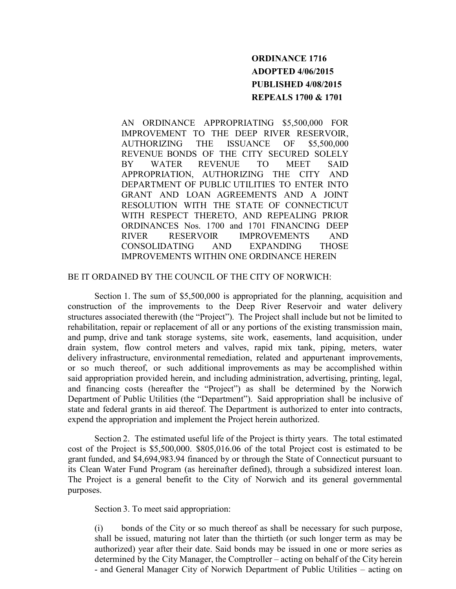## **ORDINANCE 1716 ADOPTED 4/06/2015 PUBLISHED 4/08/2015 REPEALS 1700 & 1701**

AN ORDINANCE APPROPRIATING \$5,500,000 FOR IMPROVEMENT TO THE DEEP RIVER RESERVOIR, AUTHORIZING THE ISSUANCE OF \$5,500,000 REVENUE BONDS OF THE CITY SECURED SOLELY BY WATER REVENUE TO MEET SAID APPROPRIATION, AUTHORIZING THE CITY AND DEPARTMENT OF PUBLIC UTILITIES TO ENTER INTO GRANT AND LOAN AGREEMENTS AND A JOINT RESOLUTION WITH THE STATE OF CONNECTICUT WITH RESPECT THERETO, AND REPEALING PRIOR ORDINANCES Nos. 1700 and 1701 FINANCING DEEP RIVER RESERVOIR IMPROVEMENTS AND CONSOLIDATING AND EXPANDING THOSE IMPROVEMENTS WITHIN ONE ORDINANCE HEREIN

## BE IT ORDAINED BY THE COUNCIL OF THE CITY OF NORWICH:

Section 1. The sum of \$5,500,000 is appropriated for the planning, acquisition and construction of the improvements to the Deep River Reservoir and water delivery structures associated therewith (the "Project"). The Project shall include but not be limited to rehabilitation, repair or replacement of all or any portions of the existing transmission main, and pump, drive and tank storage systems, site work, easements, land acquisition, under drain system, flow control meters and valves, rapid mix tank, piping, meters, water delivery infrastructure, environmental remediation, related and appurtenant improvements, or so much thereof, or such additional improvements as may be accomplished within said appropriation provided herein, and including administration, advertising, printing, legal, and financing costs (hereafter the "Project") as shall be determined by the Norwich Department of Public Utilities (the "Department"). Said appropriation shall be inclusive of state and federal grants in aid thereof. The Department is authorized to enter into contracts, expend the appropriation and implement the Project herein authorized.

Section 2. The estimated useful life of the Project is thirty years. The total estimated cost of the Project is \$5,500,000. \$805,016.06 of the total Project cost is estimated to be grant funded, and \$4,694,983.94 financed by or through the State of Connecticut pursuant to its Clean Water Fund Program (as hereinafter defined), through a subsidized interest loan. The Project is a general benefit to the City of Norwich and its general governmental purposes.

Section 3. To meet said appropriation:

(i) bonds of the City or so much thereof as shall be necessary for such purpose, shall be issued, maturing not later than the thirtieth (or such longer term as may be authorized) year after their date. Said bonds may be issued in one or more series as determined by the City Manager, the Comptroller – acting on behalf of the City herein - and General Manager City of Norwich Department of Public Utilities – acting on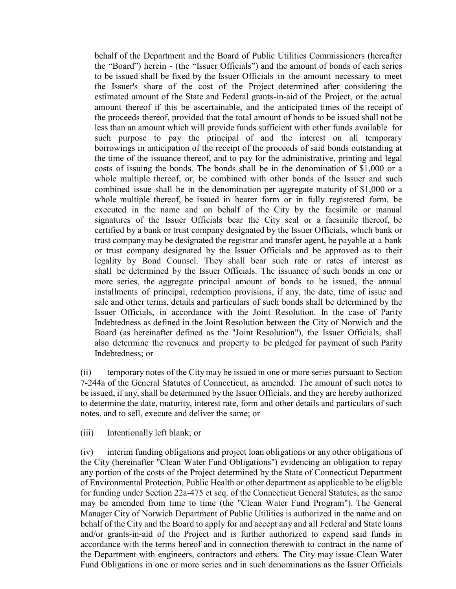behalf of the Department and the Board of Public Utilities Commissioners (hereafter the "Board") herein - (the "Issuer Officials") and the amount of bonds of each series to be issued shall be fixed by the Issuer Officials in the amount necessary to meet the Issuer's share of the cost of the Project determined after considering the estimated amount of the State and Federal grants-in-aid of the Project, or the actual amount thereof if this be ascertainable, and the anticipated times of the receipt of the proceeds thereof, provided that the total amount of bonds to be issued shall not be less than an amount which will provide funds sufficient with other funds available for such purpose to pay the principal of and the interest on all temporary borrowings in anticipation of the receipt of the proceeds of said bonds outstanding at the time of the issuance thereof, and to pay for the administrative, printing and legal costs of issuing the bonds. The bonds shall be in the denomination of \$1,000 or a whole multiple thereof, or, be combined with other bonds of the Issuer and such combined issue shall be in the denomination per aggregate maturity of \$1,000 or a whole multiple thereof, be issued in bearer form or in fully registered form, be executed in the name and on behalf of the City by the facsimile or manual signatures of the Issuer Officials bear the City seal or a facsimile thereof, be certified by a bank or trust company designated by the Issuer Officials, which bank or trust company may be designated the registrar and transfer agent, be payable at a bank or trust company designated by the Issuer Officials and be approved as to their legality by Bond Counsel. They shall bear such rate or rates of interest as shall be determined by the Issuer Officials. The issuance of such bonds in one or more series, the aggregate principal amount of bonds to be issued, the annual installments of principal, redemption provisions, if any, the date, time of issue and sale and other terms, details and particulars of such bonds shall be determined by the Issuer Officials, in accordance with the Joint Resolution. In the case of Parity Indebtedness as defined in the Joint Resolution between the City of Norwich and the Board (as hereinafter defined as the "Joint Resolution"), the Issuer Officials, shall also determine the revenues and property to be pledged for payment of such Parity Indebtedness; or

(ii) temporary notes of the City may be issued in one or more series pursuant to Section 7-244a of the General Statutes of Connecticut, as amended. The amount of such notes to be issued, if any, shall be determined by the Issuer Officials, and they are hereby authorized to determine the date, maturity, interest rate, form and other details and particulars of such notes, and to sell, execute and deliver the same; or

(iii) Intentionally left blank; or

(iv) interim funding obligations and project loan obligations or any other obligations of the City (hereinafter "Clean Water Fund Obligations") evidencing an obligation to repay any portion of the costs of the Project determined by the State of Connecticut Department of Environmental Protection, Public Health or other department as applicable to be eligible for funding under Section 22a-475 et seq. of the Connecticut General Statutes, as the same may be amended from time to time (the "Clean Water Fund Program"). The General Manager City of Norwich Department of Public Utilities is authorized in the name and on behalf of the City and the Board to apply for and accept any and all Federal and State loans and/or grants-in-aid of the Project and is further authorized to expend said funds in accordance with the terms hereof and in connection therewith to contract in the name of the Department with engineers, contractors and others. The City may issue Clean Water Fund Obligations in one or more series and in such denominations as the Issuer Officials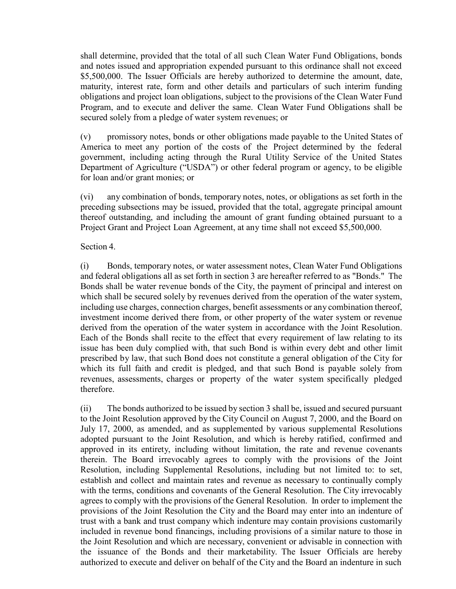shall determine, provided that the total of all such Clean Water Fund Obligations, bonds and notes issued and appropriation expended pursuant to this ordinance shall not exceed \$5,500,000. The Issuer Officials are hereby authorized to determine the amount, date, maturity, interest rate, form and other details and particulars of such interim funding obligations and project loan obligations, subject to the provisions of the Clean Water Fund Program, and to execute and deliver the same. Clean Water Fund Obligations shall be secured solely from a pledge of water system revenues; or

(v) promissory notes, bonds or other obligations made payable to the United States of America to meet any portion of the costs of the Project determined by the federal government, including acting through the Rural Utility Service of the United States Department of Agriculture ("USDA") or other federal program or agency, to be eligible for loan and/or grant monies; or

(vi) any combination of bonds, temporary notes, notes, or obligations as set forth in the preceding subsections may be issued, provided that the total, aggregate principal amount thereof outstanding, and including the amount of grant funding obtained pursuant to a Project Grant and Project Loan Agreement, at any time shall not exceed \$5,500,000.

## Section 4.

(i) Bonds, temporary notes, or water assessment notes, Clean Water Fund Obligations and federal obligations all as set forth in section 3 are hereafter referred to as "Bonds." The Bonds shall be water revenue bonds of the City, the payment of principal and interest on which shall be secured solely by revenues derived from the operation of the water system, including use charges, connection charges, benefit assessments or any combination thereof, investment income derived there from, or other property of the water system or revenue derived from the operation of the water system in accordance with the Joint Resolution. Each of the Bonds shall recite to the effect that every requirement of law relating to its issue has been duly complied with, that such Bond is within every debt and other limit prescribed by law, that such Bond does not constitute a general obligation of the City for which its full faith and credit is pledged, and that such Bond is payable solely from revenues, assessments, charges or property of the water system specifically pledged therefore.

(ii) The bonds authorized to be issued by section 3 shall be, issued and secured pursuant to the Joint Resolution approved by the City Council on August 7, 2000, and the Board on July 17, 2000, as amended, and as supplemented by various supplemental Resolutions adopted pursuant to the Joint Resolution, and which is hereby ratified, confirmed and approved in its entirety, including without limitation, the rate and revenue covenants therein. The Board irrevocably agrees to comply with the provisions of the Joint Resolution, including Supplemental Resolutions, including but not limited to: to set, establish and collect and maintain rates and revenue as necessary to continually comply with the terms, conditions and covenants of the General Resolution. The City irrevocably agrees to comply with the provisions of the General Resolution. In order to implement the provisions of the Joint Resolution the City and the Board may enter into an indenture of trust with a bank and trust company which indenture may contain provisions customarily included in revenue bond financings, including provisions of a similar nature to those in the Joint Resolution and which are necessary, convenient or advisable in connection with the issuance of the Bonds and their marketability. The Issuer Officials are hereby authorized to execute and deliver on behalf of the City and the Board an indenture in such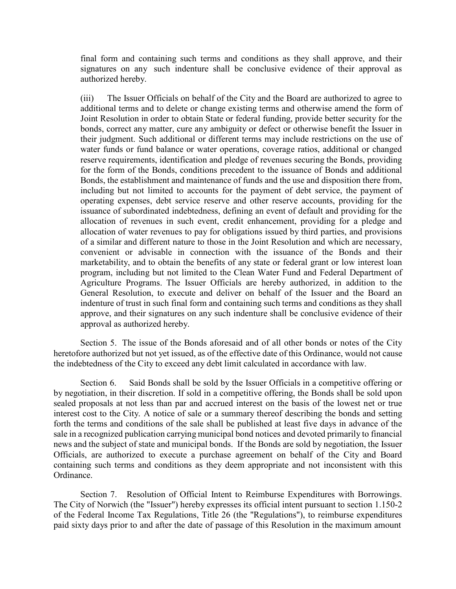final form and containing such terms and conditions as they shall approve, and their signatures on any such indenture shall be conclusive evidence of their approval as authorized hereby.

(iii) The Issuer Officials on behalf of the City and the Board are authorized to agree to additional terms and to delete or change existing terms and otherwise amend the form of Joint Resolution in order to obtain State or federal funding, provide better security for the bonds, correct any matter, cure any ambiguity or defect or otherwise benefit the Issuer in their judgment. Such additional or different terms may include restrictions on the use of water funds or fund balance or water operations, coverage ratios, additional or changed reserve requirements, identification and pledge of revenues securing the Bonds, providing for the form of the Bonds, conditions precedent to the issuance of Bonds and additional Bonds, the establishment and maintenance of funds and the use and disposition there from, including but not limited to accounts for the payment of debt service, the payment of operating expenses, debt service reserve and other reserve accounts, providing for the issuance of subordinated indebtedness, defining an event of default and providing for the allocation of revenues in such event, credit enhancement, providing for a pledge and allocation of water revenues to pay for obligations issued by third parties, and provisions of a similar and different nature to those in the Joint Resolution and which are necessary, convenient or advisable in connection with the issuance of the Bonds and their marketability, and to obtain the benefits of any state or federal grant or low interest loan program, including but not limited to the Clean Water Fund and Federal Department of Agriculture Programs. The Issuer Officials are hereby authorized, in addition to the General Resolution, to execute and deliver on behalf of the Issuer and the Board an indenture of trust in such final form and containing such terms and conditions as they shall approve, and their signatures on any such indenture shall be conclusive evidence of their approval as authorized hereby.

Section 5. The issue of the Bonds aforesaid and of all other bonds or notes of the City heretofore authorized but not yet issued, as of the effective date of this Ordinance, would not cause the indebtedness of the City to exceed any debt limit calculated in accordance with law.

Section 6. Said Bonds shall be sold by the Issuer Officials in a competitive offering or by negotiation, in their discretion. If sold in a competitive offering, the Bonds shall be sold upon sealed proposals at not less than par and accrued interest on the basis of the lowest net or true interest cost to the City. A notice of sale or a summary thereof describing the bonds and setting forth the terms and conditions of the sale shall be published at least five days in advance of the sale in a recognized publication carrying municipal bond notices and devoted primarily to financial news and the subject of state and municipal bonds. If the Bonds are sold by negotiation, the Issuer Officials, are authorized to execute a purchase agreement on behalf of the City and Board containing such terms and conditions as they deem appropriate and not inconsistent with this Ordinance.

Section 7. Resolution of Official Intent to Reimburse Expenditures with Borrowings. The City of Norwich (the "Issuer") hereby expresses its official intent pursuant to section 1.150-2 of the Federal Income Tax Regulations, Title 26 (the "Regulations"), to reimburse expenditures paid sixty days prior to and after the date of passage of this Resolution in the maximum amount